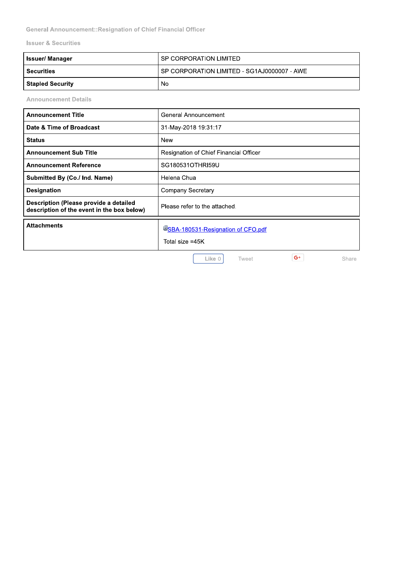**General Announcement::Resignation of Chief Financial Officer** 

**Issuer & Securities** 

| <b>Issuer/ Manager</b>  | <b>SP CORPORATION LIMITED</b>               |
|-------------------------|---------------------------------------------|
| <b>Securities</b>       | SP CORPORATION LIMITED - SG1AJ0000007 - AWE |
| <b>Stapled Security</b> | No                                          |

**Announcement Details** 

| <b>Announcement Title</b>                                                            | General Announcement                                  |
|--------------------------------------------------------------------------------------|-------------------------------------------------------|
| Date & Time of Broadcast                                                             | 31-May-2018 19:31:17                                  |
| <b>Status</b>                                                                        | New                                                   |
| <b>Announcement Sub Title</b>                                                        | <b>Resignation of Chief Financial Officer</b>         |
| <b>Announcement Reference</b>                                                        | SG180531OTHRI59U                                      |
| Submitted By (Co./ Ind. Name)                                                        | Helena Chua                                           |
| <b>Designation</b>                                                                   | Company Secretary                                     |
| Description (Please provide a detailed<br>description of the event in the box below) | Please refer to the attached.                         |
| <b>Attachments</b>                                                                   | USBA-180531-Resignation of CFO.pdf<br>Total size =45K |
|                                                                                      | $G^+$<br>Like 0<br>Tweet<br>Share                     |

Like 0

 $G^+$ 

Share